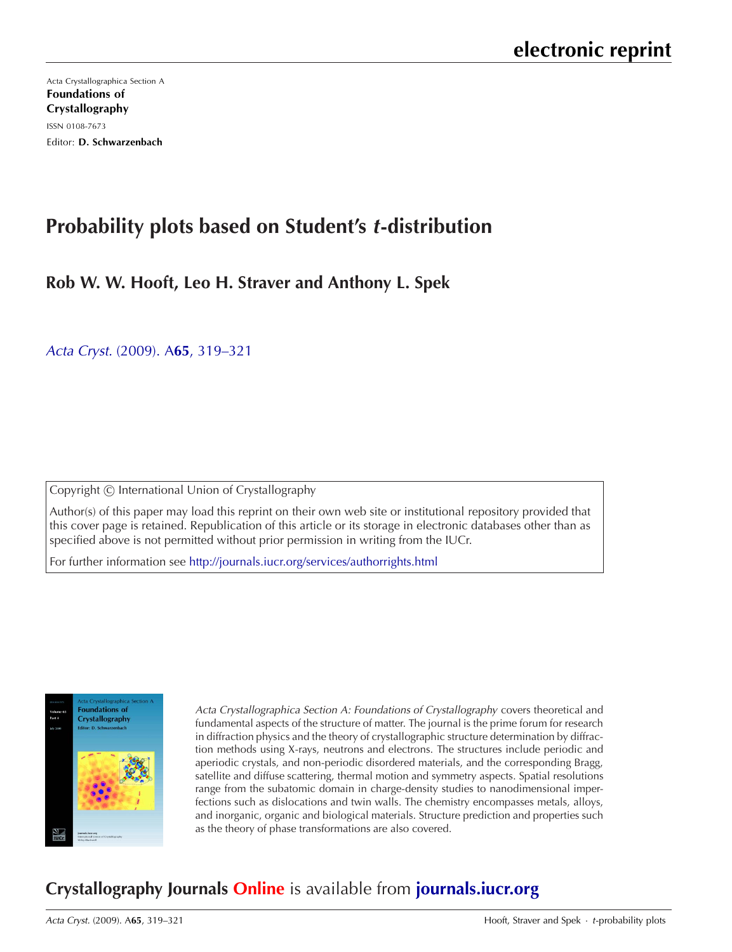[Acta Crystallographica Section A](http://journals.iucr.org/a/) Foundations of Crystallography ISSN 0108-7673 Editor: D. Schwarzenbach

# **Probability plots based on Student's <sup>t</sup>-distribution**

## **Rob W. W. Hooft, Leo H. Straver and Anthony L. Spek**

Acta Cryst. (2009). A**65**[, 319–321](http://dx.doi.org/10.1107/S0108767309009908)

Copyright © International Union of Crystallography

Author(s) of this paper may load this reprint on their own web site or institutional repository provided that this cover page is retained. Republication of this article or its storage in electronic databases other than as specified above is not permitted without prior permission in writing from the IUCr.

For further information see <http://journals.iucr.org/services/authorrights.html>



Acta Crystallographica Section A: Foundations of Crystallography covers theoretical and fundamental aspects of the structure of matter. The journal is the prime forum for research in diffraction physics and the theory of crystallographic structure determination by diffraction methods using X-rays, neutrons and electrons. The structures include periodic and aperiodic crystals, and non-periodic disordered materials, and the corresponding Bragg, satellite and diffuse scattering, thermal motion and symmetry aspects. Spatial resolutions range from the subatomic domain in charge-density studies to nanodimensional imperfections such as dislocations and twin walls. The chemistry encompasses metals, alloys, and inorganic, organic and biological materials. Structure prediction and properties such as the theory of phase transformations are also covered.

## **Crystallography Journals Online** is available from **[journals.iucr.org](http://journals.iucr.org)**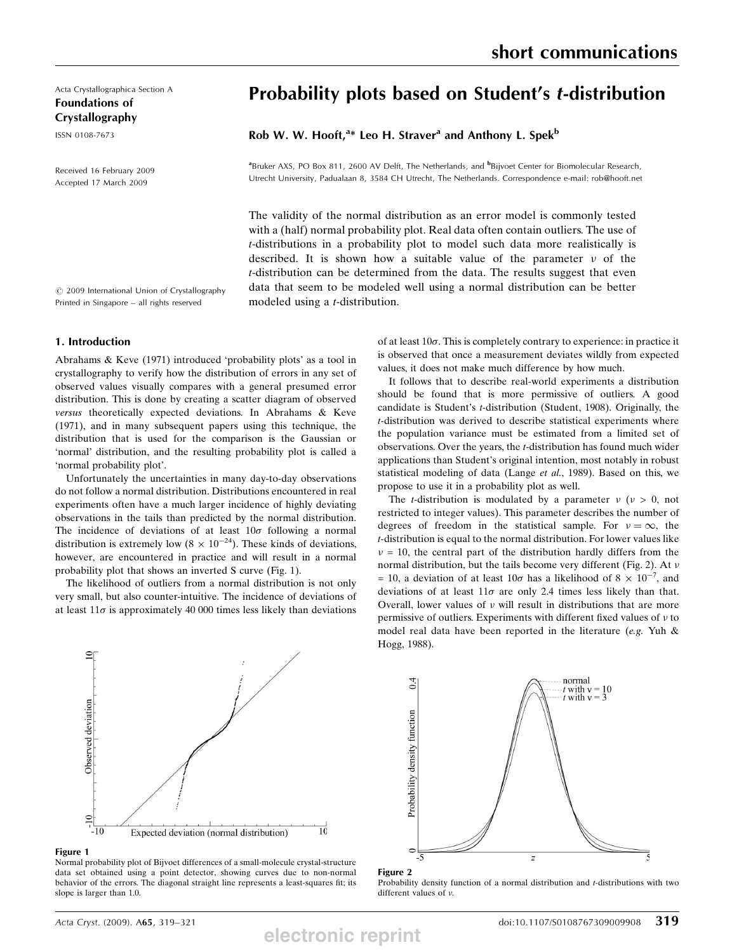Acta Crystallographica Section A Foundations of Crystallography

ISSN 0108-7673

Received 16 February 2009 Accepted 17 March 2009

 $©$  2009 International Union of Crystallography Printed in Singapore – all rights reserved

## 1. Introduction

Abrahams & Keve (1971) introduced 'probability plots' as a tool in crystallography to verify how the distribution of errors in any set of observed values visually compares with a general presumed error distribution. This is done by creating a scatter diagram of observed versus theoretically expected deviations. In Abrahams & Keve (1971), and in many subsequent papers using this technique, the distribution that is used for the comparison is the Gaussian or 'normal' distribution, and the resulting probability plot is called a 'normal probability plot'.

Unfortunately the uncertainties in many day-to-day observations do not follow a normal distribution. Distributions encountered in real experiments often have a much larger incidence of highly deviating observations in the tails than predicted by the normal distribution. The incidence of deviations of at least  $10\sigma$  following a normal distribution is extremely low ( $8 \times 10^{-24}$ ). These kinds of deviations, however, are encountered in practice and will result in a normal probability plot that shows an inverted S curve (Fig. 1).

The likelihood of outliers from a normal distribution is not only very small, but also counter-intuitive. The incidence of deviations of at least  $11\sigma$  is approximately 40 000 times less likely than deviations

Probability plots based on Student's t-distribution

Rob W. W. Hooft,<sup>a\*</sup> Leo H. Straver<sup>a</sup> and Anthony L. Spek<sup>b</sup>

<sup>a</sup>Bruker AXS, PO Box 811, 2600 AV Delft, The Netherlands, and <sup>b</sup>Bijvoet Center for Biomolecular Research, Utrecht University, Padualaan 8, 3584 CH Utrecht, The Netherlands. Correspondence e-mail: rob@hooft.net

The validity of the normal distribution as an error model is commonly tested with a (half) normal probability plot. Real data often contain outliers. The use of t-distributions in a probability plot to model such data more realistically is described. It is shown how a suitable value of the parameter  $\nu$  of the t-distribution can be determined from the data. The results suggest that even data that seem to be modeled well using a normal distribution can be better modeled using a t-distribution.

> of at least  $10\sigma$ . This is completely contrary to experience: in practice it is observed that once a measurement deviates wildly from expected values, it does not make much difference by how much.

short communications

It follows that to describe real-world experiments a distribution should be found that is more permissive of outliers. A good candidate is Student's t-distribution (Student, 1908). Originally, the t-distribution was derived to describe statistical experiments where the population variance must be estimated from a limited set of observations. Over the years, the t-distribution has found much wider applications than Student's original intention, most notably in robust statistical modeling of data (Lange et al., 1989). Based on this, we propose to use it in a probability plot as well.

The *t*-distribution is modulated by a parameter  $\nu$  ( $\nu > 0$ , not restricted to integer values). This parameter describes the number of degrees of freedom in the statistical sample. For  $v = \infty$ , the t-distribution is equal to the normal distribution. For lower values like  $v = 10$ , the central part of the distribution hardly differs from the normal distribution, but the tails become very different (Fig. 2). At  $\nu$ = 10, a deviation of at least  $10\sigma$  has a likelihood of  $8 \times 10^{-7}$ , and deviations of at least  $11\sigma$  are only 2.4 times less likely than that. Overall, lower values of  $\nu$  will result in distributions that are more permissive of outliers. Experiments with different fixed values of  $\nu$  to model real data have been reported in the literature (e.g. Yuh  $\&$ Hogg, 1988).



Figure 1

Normal probability plot of Bijvoet differences of a small-molecule crystal-structure data set obtained using a point detector, showing curves due to non-normal behavior of the errors. The diagonal straight line represents a least-squares fit; its slope is larger than 1.0.



Figure 2

**electronic reprint**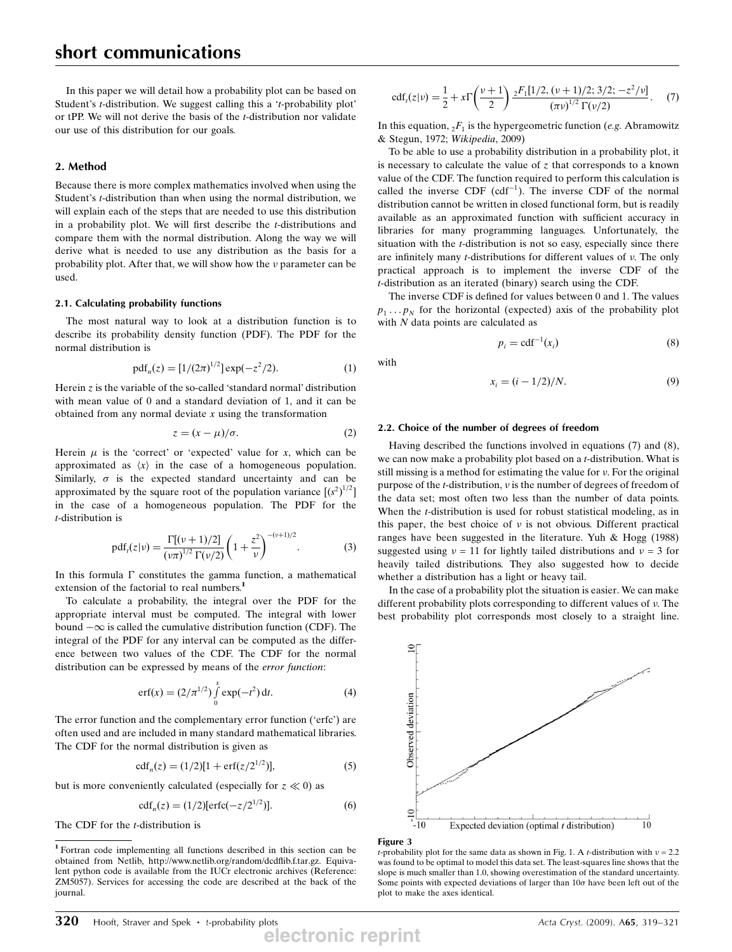In this paper we will detail how a probability plot can be based on Student's t-distribution. We suggest calling this a 't-probability plot' or tPP. We will not derive the basis of the t-distribution nor validate our use of this distribution for our goals.

### 2. Method

Because there is more complex mathematics involved when using the Student's t-distribution than when using the normal distribution, we will explain each of the steps that are needed to use this distribution in a probability plot. We will first describe the t-distributions and compare them with the normal distribution. Along the way we will derive what is needed to use any distribution as the basis for a probability plot. After that, we will show how the  $\nu$  parameter can be used.

#### 2.1. Calculating probability functions

The most natural way to look at a distribution function is to describe its probability density function (PDF). The PDF for the normal distribution is

$$
pdfn(z) = [1/(2\pi)^{1/2}] exp(-z2/2).
$$
 (1)

Herein z is the variable of the so-called 'standard normal' distribution with mean value of 0 and a standard deviation of 1, and it can be obtained from any normal deviate  $x$  using the transformation

$$
z = (x - \mu)/\sigma.
$$
 (2)

Herein  $\mu$  is the 'correct' or 'expected' value for x, which can be approximated as  $\langle x \rangle$  in the case of a homogeneous population. Similarly,  $\sigma$  is the expected standard uncertainty and can be approximated by the square root of the population variance  $[(s^2)^{1/2}]$ in the case of a homogeneous population. The PDF for the t-distribution is

$$
\text{pdf}_t(z|\nu) = \frac{\Gamma[(\nu+1)/2]}{(\nu\pi)^{1/2}\Gamma(\nu/2)} \left(1 + \frac{z^2}{\nu}\right)^{-(\nu+1)/2}.\tag{3}
$$

In this formula  $\Gamma$  constitutes the gamma function, a mathematical extension of the factorial to real numbers.<sup>1</sup>

To calculate a probability, the integral over the PDF for the appropriate interval must be computed. The integral with lower bound  $-\infty$  is called the cumulative distribution function (CDF). The integral of the PDF for any interval can be computed as the difference between two values of the CDF. The CDF for the normal distribution can be expressed by means of the error function:

$$
erf(x) = (2/\pi^{1/2}) \int_{0}^{x} exp(-t^{2}) dt.
$$
 (4)

The error function and the complementary error function ('erfc') are often used and are included in many standard mathematical libraries. The CDF for the normal distribution is given as

$$
cdfn(z) = (1/2)[1 + erf(z/21/2)],
$$
\n(5)

but is more conveniently calculated (especially for  $z \ll 0$ ) as

$$
cdf_n(z) = (1/2)[erfc(-z/2^{1/2})].
$$
 (6)

The CDF for the *t*-distribution is

$$
\text{cdf}_t(z|\nu) = \frac{1}{2} + x\Gamma\left(\frac{\nu+1}{2}\right) \frac{{}_2F_1[1/2, (\nu+1)/2; 3/2; -z^2/\nu]}{(\pi\nu)^{1/2}\Gamma(\nu/2)}.
$$
 (7)

In this equation,  ${}_{2}F_{1}$  is the hypergeometric function (e.g. Abramowitz & Stegun, 1972; Wikipedia, 2009)

To be able to use a probability distribution in a probability plot, it is necessary to calculate the value of z that corresponds to a known value of the CDF. The function required to perform this calculation is called the inverse CDF  $(cdf^{-1})$ . The inverse CDF of the normal distribution cannot be written in closed functional form, but is readily available as an approximated function with sufficient accuracy in libraries for many programming languages. Unfortunately, the situation with the  $t$ -distribution is not so easy, especially since there are infinitely many  $t$ -distributions for different values of  $\nu$ . The only practical approach is to implement the inverse CDF of the t-distribution as an iterated (binary) search using the CDF.

The inverse CDF is defined for values between 0 and 1. The values  $p_1 \dots p_N$  for the horizontal (expected) axis of the probability plot with  $N$  data points are calculated as

$$
p_i = \text{cdf}^{-1}(x_i) \tag{8}
$$

with

$$
x_i = (i - 1/2)/N.
$$
 (9)

#### 2.2. Choice of the number of degrees of freedom

Having described the functions involved in equations (7) and (8), we can now make a probability plot based on a *t*-distribution. What is still missing is a method for estimating the value for v. For the original purpose of the  $t$ -distribution,  $\nu$  is the number of degrees of freedom of the data set; most often two less than the number of data points. When the *t*-distribution is used for robust statistical modeling, as in this paper, the best choice of  $\nu$  is not obvious. Different practical ranges have been suggested in the literature. Yuh & Hogg (1988) suggested using  $v = 11$  for lightly tailed distributions and  $v = 3$  for heavily tailed distributions. They also suggested how to decide whether a distribution has a light or heavy tail.

In the case of a probability plot the situation is easier. We can make different probability plots corresponding to different values of v. The best probability plot corresponds most closely to a straight line.



#### Figure 3

*t*-probability plot for the same data as shown in Fig. 1. A *t*-distribution with  $v = 2.2$ was found to be optimal to model this data set. The least-squares line shows that the slope is much smaller than 1.0, showing overestimation of the standard uncertainty. Some points with expected deviations of larger than  $10\sigma$  have been left out of the plot to make the axes identical.

**electronic reprint**

<sup>1</sup> Fortran code implementing all functions described in this section can be obtained from Netlib, http://www.netlib.org/random/dcdflib.f.tar.gz. Equivalent python code is available from the IUCr electronic archives (Reference: ZM5057). Services for accessing the code are described at the back of the journal.